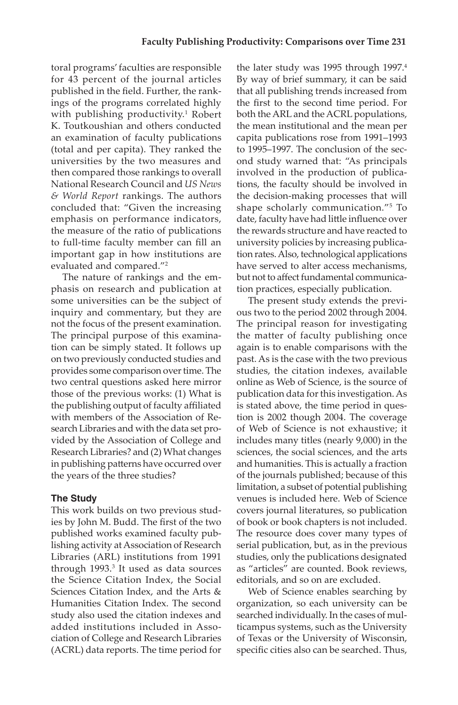toral programs' faculties are responsible for 43 percent of the journal articles published in the field. Further, the rank- ings of the programs correlated highly with publishing productivity.<sup>1</sup> Robert K. Toutkoushian and others conducted an examination of faculty publications (total and per capita). They ranked the universities by the two measures and then compared those rankings to overall National Research Council and *US News & World Report* rankings. The authors concluded that: "Given the increasing emphasis on performance indicators, the measure of the ratio of publications to full-time faculty member can fill an important gap in how institutions are evaluated and compared."<sup>2</sup>

 The nature of rankings and the em- phasis on research and publication at some universities can be the subject of inquiry and commentary, but they are The principal purpose of this examina- on two previously conducted studies and provides some comparison over time. The the publishing output of faculty affiliated search Libraries and with the data set pro- Research Libraries? and (2) What changes in publishing patterns have occurred over not the focus of the present examination. tion can be simply stated. It follows up two central questions asked here mirror those of the previous works: (1) What is with members of the Association of Revided by the Association of College and the years of the three studies?

# **The Study**

 lishing activity at Association of Research Libraries (ARL) institutions from 1991 through 1993.<sup>3</sup> It used as data sources the Science Citation Index, the Social Humanities Citation Index. The second added institutions included in Asso-This work builds on two previous studies by John M. Budd. The first of the two published works examined faculty pub-Sciences Citation Index, and the Arts & study also used the citation indexes and ciation of College and Research Libraries (ACRL) data reports. The time period for

 the first to the second time period. For ond study warned that: "As principals involved in the production of publica- shape scholarly communication."5 To date, faculty have had little influence over the rewards structure and have reacted to tion rates.Also, technological applications but not to affect fundamental communicathe later study was 1995 through 1997.<sup>4</sup> By way of brief summary, it can be said that all publishing trends increased from both the ARL and the ACRL populations, the mean institutional and the mean per capita publications rose from 1991–1993 to 1995–1997. The conclusion of the sections, the faculty should be involved in the decision-making processes that will university policies by increasing publicahave served to alter access mechanisms, tion practices, especially publication.

 The principal reason for investigating the matter of faculty publishing once studies, the citation indexes, available publication data for this investigation. As tion is 2002 though 2004. The coverage of Web of Science is not exhaustive; it and humanities. This is actually a fraction limitation, a subset of potential publishing The present study extends the previous two to the period 2002 through 2004. again is to enable comparisons with the past. As is the case with the two previous online as Web of Science, is the source of is stated above, the time period in quesincludes many titles (nearly 9,000) in the sciences, the social sciences, and the arts of the journals published; because of this venues is included here. Web of Science covers journal literatures, so publication of book or book chapters is not included. The resource does cover many types of serial publication, but, as in the previous studies, only the publications designated as "articles" are counted. Book reviews, editorials, and so on are excluded.

 Web of Science enables searching by organization, so each university can be searched individually. In the cases of multicampus systems, such as the University of Texas or the University of Wisconsin, specific cities also can be searched. Thus,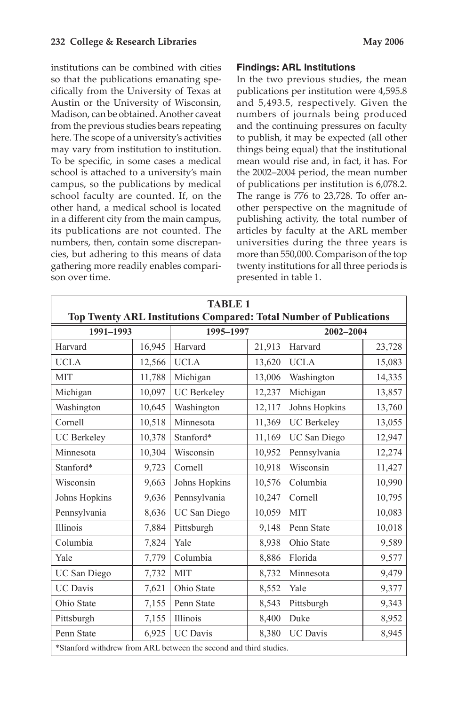Austin or the University of Wisconsin, Madison, can be obtained. Another caveat from the previous studies bears repeating To be specific, in some cases a medical school faculty are counted. If, on the its publications are not counted. The institutions can be combined with cities so that the publications emanating specifically from the University of Texas at here. The scope of a university's activities may vary from institution to institution. school is attached to a university's main campus, so the publications by medical other hand, a medical school is located in a different city from the main campus, numbers, then, contain some discrepancies, but adhering to this means of data gathering more readily enables comparison over time.

### **Findings: ARL Institutions**

 In the two previous studies, the mean and 5,493.5, respectively. Given the numbers of journals being produced other perspective on the magnitude of publishing activity, the total number of articles by faculty at the ARL member universities during the three years is more than 550,000. Comparison of the top twenty institutions for all three periods is publications per institution were 4,595.8 and the continuing pressures on faculty to publish, it may be expected (all other things being equal) that the institutional mean would rise and, in fact, it has. For the 2002–2004 period, the mean number of publications per institution is 6,078.2. The range is 776 to 23,728. To offer anpresented in table 1.

| <b>TABLE 1</b><br>Top Twenty ARL Institutions Compared: Total Number of Publications |        |                    |                   |                          |        |  |
|--------------------------------------------------------------------------------------|--------|--------------------|-------------------|--------------------------|--------|--|
| 1991-1993                                                                            |        | 1995-1997          |                   | 2002-2004                |        |  |
| Harvard                                                                              | 16,945 | Harvard            | 21,913<br>Harvard |                          | 23,728 |  |
| <b>UCLA</b>                                                                          | 12,566 | <b>UCLA</b>        | 13,620            | <b>UCLA</b>              | 15,083 |  |
| <b>MIT</b>                                                                           | 11,788 | Michigan           | 13,006            | Washington               | 14,335 |  |
| Michigan                                                                             | 10,097 | <b>UC</b> Berkeley | 12,237            | Michigan                 | 13,857 |  |
| Washington                                                                           | 10,645 | Washington         | 12,117            | Johns Hopkins            | 13,760 |  |
| Cornell                                                                              | 10,518 | Minnesota          | 11,369            | <b>UC</b> Berkeley       | 13,055 |  |
| <b>UC</b> Berkeley                                                                   | 10,378 | Stanford*          | 11,169            | UC San Diego             | 12,947 |  |
| Minnesota                                                                            | 10,304 | Wisconsin          | 10,952            | Pennsylvania             | 12,274 |  |
| Stanford*                                                                            | 9,723  | Cornell            | 10,918            | Wisconsin                | 11,427 |  |
| Wisconsin                                                                            | 9,663  | Johns Hopkins      | 10,576            | Columbia                 | 10,990 |  |
| Johns Hopkins                                                                        | 9,636  | Pennsylvania       | 10,247            | Cornell                  | 10,795 |  |
| Pennsylvania                                                                         | 8,636  | UC San Diego       | 10,059            | <b>MIT</b>               | 10,083 |  |
| Illinois                                                                             | 7,884  | Pittsburgh         | 9,148             | Penn State               | 10,018 |  |
| Columbia                                                                             | 7,824  | Yale               | 8,938             | 9,589<br>Ohio State      |        |  |
| Yale                                                                                 | 7,779  | Columbia           | 8,886             | Florida                  | 9,577  |  |
| UC San Diego                                                                         | 7,732  | <b>MIT</b>         | 8,732             | Minnesota                | 9,479  |  |
| <b>UC</b> Davis                                                                      | 7,621  | Ohio State         | 8,552             | Yale                     | 9,377  |  |
| Ohio State                                                                           | 7,155  | Penn State         | 8,543             | Pittsburgh               | 9,343  |  |
| Pittsburgh                                                                           | 7,155  | Illinois           | 8,400             | 8,952<br>Duke            |        |  |
| Penn State                                                                           | 6,925  | <b>UC</b> Davis    | 8,380             | 8,945<br><b>UC</b> Davis |        |  |
| *Stanford withdrew from ARL between the second and third studies.                    |        |                    |                   |                          |        |  |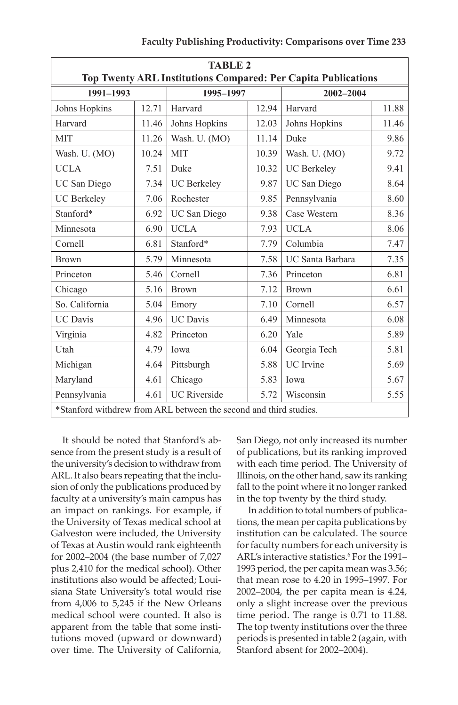|                                                               |       | <b>TABLE 2</b>                                                    |       |                            |       |  |
|---------------------------------------------------------------|-------|-------------------------------------------------------------------|-------|----------------------------|-------|--|
| Top Twenty ARL Institutions Compared: Per Capita Publications |       |                                                                   |       |                            |       |  |
| 1991-1993                                                     |       | 1995-1997                                                         |       | 2002-2004                  |       |  |
| Johns Hopkins                                                 | 12.71 | Harvard                                                           | 12.94 | Harvard                    | 11.88 |  |
| Harvard                                                       | 11.46 | Johns Hopkins                                                     | 12.03 | Johns Hopkins              | 11.46 |  |
| <b>MIT</b>                                                    | 11.26 | Wash. U. (MO)                                                     | 11.14 | Duke                       | 9.86  |  |
| Wash. U. (MO)                                                 | 10.24 | <b>MIT</b>                                                        | 10.39 | Wash. U. (MO)              | 9.72  |  |
| <b>UCLA</b>                                                   | 7.51  | Duke                                                              | 10.32 | <b>UC</b> Berkeley<br>9.41 |       |  |
| UC San Diego                                                  | 7.34  | <b>UC</b> Berkeley                                                | 9.87  | UC San Diego<br>8.64       |       |  |
| <b>UC</b> Berkeley                                            | 7.06  | Rochester                                                         | 9.85  | Pennsylvania               | 8.60  |  |
| Stanford*                                                     | 6.92  | UC San Diego                                                      | 9.38  | Case Western               | 8.36  |  |
| Minnesota                                                     | 6.90  | <b>UCLA</b>                                                       | 7.93  | <b>UCLA</b>                | 8.06  |  |
| Cornell                                                       | 6.81  | Stanford*                                                         | 7.79  | Columbia                   | 7.47  |  |
| <b>Brown</b>                                                  | 5.79  | Minnesota                                                         | 7.58  | UC Santa Barbara           | 7.35  |  |
| Princeton                                                     | 5.46  | Cornell                                                           | 7.36  | Princeton                  | 6.81  |  |
| Chicago                                                       | 5.16  | <b>Brown</b>                                                      | 7.12  | <b>Brown</b>               | 6.61  |  |
| So. California                                                | 5.04  | Emory                                                             | 7.10  | Cornell                    | 6.57  |  |
| <b>UC</b> Davis                                               | 4.96  | <b>UC</b> Davis                                                   | 6.49  | Minnesota                  | 6.08  |  |
| Virginia                                                      | 4.82  | Princeton                                                         | 6.20  | Yale                       | 5.89  |  |
| Utah                                                          | 4.79  | Iowa                                                              | 6.04  | Georgia Tech               | 5.81  |  |
| Michigan                                                      | 4.64  | Pittsburgh                                                        | 5.88  | <b>UC</b> Irvine           | 5.69  |  |
| Maryland                                                      | 4.61  | Chicago                                                           | 5.83  | Iowa                       | 5.67  |  |
| Pennsylvania                                                  | 4.61  | <b>UC</b> Riverside                                               | 5.72  | Wisconsin<br>5.55          |       |  |
|                                                               |       | *Stanford withdrew from ARL between the second and third studies. |       |                            |       |  |

 It should be noted that Stanford's ab- sence from the present study is a result of the university's decision to withdraw from ARL. It also bears repeating that the inclu- sion of only the publications produced by faculty at a university's main campus has an impact on rankings. For example, if the University of Texas medical school at Galveston were included, the University of Texas at Austin would rank eighteenth for 2002–2004 (the base number of 7,027 plus 2,410 for the medical school). Other institutions also would be affected; Loui- siana State University's total would rise from 4,006 to 5,245 if the New Orleans medical school were counted. It also is apparent from the table that some insti- tutions moved (upward or downward) over time. The University of California,  San Diego, not only increased its number of publications, but its ranking improved with each time period. The University of Illinois, on the other hand, saw its ranking fall to the point where it no longer ranked in the top twenty by the third study.

 In addition to total numbers of publica- tions, the mean per capita publications by 1993 period, the per capita mean was 3.56; 2002–2004, the per capita mean is 4.24, time period. The range is 0.71 to 11.88. The top twenty institutions over the three periods is presented in table 2 (again, with institution can be calculated. The source for faculty numbers for each university is ARL's interactive statistics.<sup>6</sup> For the 1991that mean rose to 4.20 in 1995–1997. For only a slight increase over the previous Stanford absent for 2002–2004).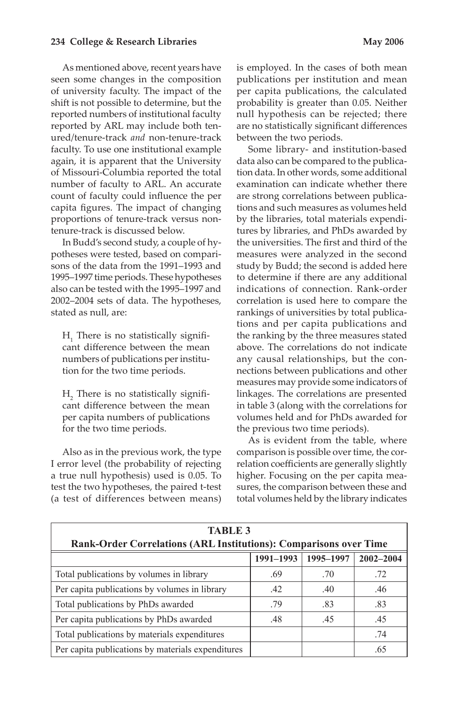As mentioned above, recent years have seen some changes in the composition of university faculty. The impact of the number of faculty to ARL. An accurate capita figures. The impact of changing shift is not possible to determine, but the reported numbers of institutional faculty reported by ARL may include both tenured/tenure-track *and* non-tenure-track faculty. To use one institutional example again, it is apparent that the University of Missouri-Columbia reported the total count of faculty could influence the per proportions of tenure-track versus nontenure-track is discussed below.

 In Budd's second study, a couple of hy- 1995–1997 time periods. These hypotheses also can be tested with the 1995–1997 and potheses were tested, based on comparisons of the data from the 1991–1993 and 2002–2004 sets of data. The hypotheses, stated as null, are:

 cant difference between the mean numbers of publications per institu- $H<sub>1</sub>$  There is no statistically signifition for the two time periods.

 cant difference between the mean H<sub>2</sub> There is no statistically signifiper capita numbers of publications for the two time periods.

 a true null hypothesis) used is 0.05. To (a test of differences between means) Also as in the previous work, the type I error level (the probability of rejecting test the two hypotheses, the paired t-test

 publications per institution and mean per capita publications, the calculated null hypothesis can be rejected; there is employed. In the cases of both mean probability is greater than 0.05. Neither are no statistically significant differences between the two periods.

 Some library- and institution-based data also can be compared to the publica- tion data. In other words, some additional tions and such measures as volumes held measures were analyzed in the second indications of connection. Rank-order tions and per capita publications and above. The correlations do not indicate any causal relationships, but the con- measures may provide some indicators of examination can indicate whether there are strong correlations between publicaby the libraries, total materials expenditures by libraries, and PhDs awarded by the universities. The first and third of the study by Budd; the second is added here to determine if there are any additional correlation is used here to compare the rankings of universities by total publicathe ranking by the three measures stated nections between publications and other linkages. The correlations are presented in table 3 (along with the correlations for volumes held and for PhDs awarded for the previous two time periods).

 As is evident from the table, where comparison is possible over time, the cor- relation coefficients are generally slightly total volumes held by the library indicates higher. Focusing on the per capita measures, the comparison between these and

| <b>TABLE 3</b><br>Rank-Order Correlations (ARL Institutions): Comparisons over Time |     |     |     |  |  |  |
|-------------------------------------------------------------------------------------|-----|-----|-----|--|--|--|
| $2002 - 2004$<br>1991-1993<br>1995-1997                                             |     |     |     |  |  |  |
| Total publications by volumes in library                                            | .69 | .70 | .72 |  |  |  |
| Per capita publications by volumes in library                                       | .42 | .40 | .46 |  |  |  |
| Total publications by PhDs awarded                                                  | .79 | .83 | .83 |  |  |  |
| Per capita publications by PhDs awarded                                             | .48 | .45 | .45 |  |  |  |
| Total publications by materials expenditures                                        |     |     | .74 |  |  |  |
| Per capita publications by materials expenditures                                   |     |     | .65 |  |  |  |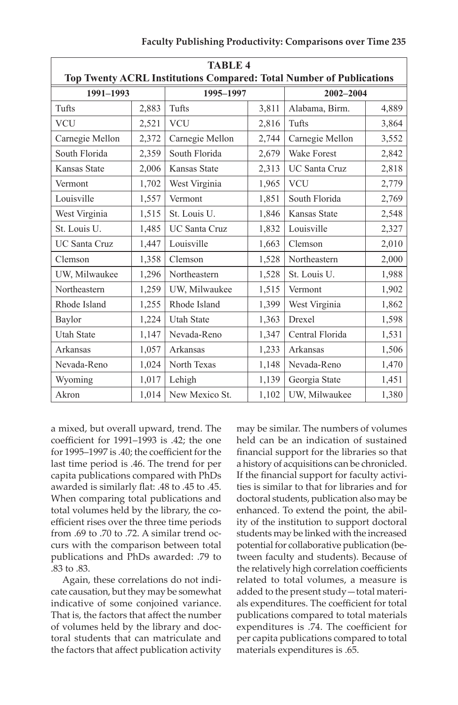| <b>TABLE 4</b><br>Top Twenty ACRL Institutions Compared: Total Number of Publications |       |                      |       |                        |       |  |
|---------------------------------------------------------------------------------------|-------|----------------------|-------|------------------------|-------|--|
| 1991-1993                                                                             |       | 1995-1997            |       | 2002-2004              |       |  |
| Tufts                                                                                 | 2,883 | Tufts                | 3,811 | Alabama, Birm.         |       |  |
| <b>VCU</b>                                                                            | 2,521 | <b>VCU</b>           | 2,816 | Tufts                  | 3,864 |  |
| Carnegie Mellon                                                                       | 2,372 | Carnegie Mellon      | 2,744 | Carnegie Mellon        | 3,552 |  |
| South Florida                                                                         | 2,359 | South Florida        | 2,679 | <b>Wake Forest</b>     | 2,842 |  |
| Kansas State                                                                          | 2,006 | <b>Kansas State</b>  | 2,313 | <b>UC Santa Cruz</b>   | 2,818 |  |
| Vermont                                                                               | 1,702 | West Virginia        | 1,965 | <b>VCU</b>             | 2,779 |  |
| Louisville                                                                            | 1,557 | Vermont              | 1,851 | South Florida          | 2,769 |  |
| West Virginia                                                                         | 1,515 | St. Louis U.         | 1,846 | Kansas State           | 2,548 |  |
| St. Louis U.                                                                          | 1,485 | <b>UC Santa Cruz</b> | 1,832 | Louisville             | 2,327 |  |
| <b>UC Santa Cruz</b>                                                                  | 1,447 | Louisville           | 1,663 | Clemson                | 2,010 |  |
| Clemson                                                                               | 1,358 | Clemson              | 1,528 | Northeastern           | 2,000 |  |
| UW, Milwaukee                                                                         | 1,296 | Northeastern         | 1,528 | St. Louis U.           | 1,988 |  |
| Northeastern                                                                          | 1,259 | UW, Milwaukee        | 1,515 | Vermont                | 1,902 |  |
| Rhode Island                                                                          | 1,255 | Rhode Island         | 1,399 | West Virginia          | 1,862 |  |
| Baylor                                                                                | 1,224 | <b>Utah State</b>    | 1,363 | Drexel                 | 1,598 |  |
| <b>Utah State</b>                                                                     | 1,147 | Nevada-Reno          | 1,347 | Central Florida        | 1,531 |  |
| Arkansas                                                                              | 1,057 | Arkansas             | 1,233 | Arkansas               | 1,506 |  |
| Nevada-Reno                                                                           | 1,024 | North Texas          | 1,148 | Nevada-Reno<br>1,470   |       |  |
| Wyoming                                                                               | 1,017 | Lehigh               | 1,139 | Georgia State          | 1,451 |  |
| Akron                                                                                 | 1,014 | New Mexico St.       | 1,102 | UW, Milwaukee<br>1,380 |       |  |

 coefficient for 1991–1993 is .42; the one publications and PhDs awarded: .79 to a mixed, but overall upward, trend. The for 1995–1997 is .40; the coefficient for the last time period is .46. The trend for per capita publications compared with PhDs awarded is similarly flat: .48 to .45 to .45. When comparing total publications and total volumes held by the library, the coefficient rises over the three time periods from .69 to .70 to .72. A similar trend occurs with the comparison between total .83 to .83.

 cate causation, but they may be somewhat indicative of some conjoined variance. toral students that can matriculate and Again, these correlations do not indi-That is, the factors that affect the number of volumes held by the library and docthe factors that affect publication activity

 held can be an indication of sustained a history of acquisitions can be chronicled. doctoral students, publication also may be students may be linked with the increased potential for collaborative publication (be- the relatively high correlation coefficients related to total volumes, a measure is added to the present study—total materi- expenditures is .74. The coefficient for may be similar. The numbers of volumes financial support for the libraries so that If the financial support for faculty activities is similar to that for libraries and for enhanced. To extend the point, the ability of the institution to support doctoral tween faculty and students). Because of als expenditures. The coefficient for total publications compared to total materials per capita publications compared to total materials expenditures is .65.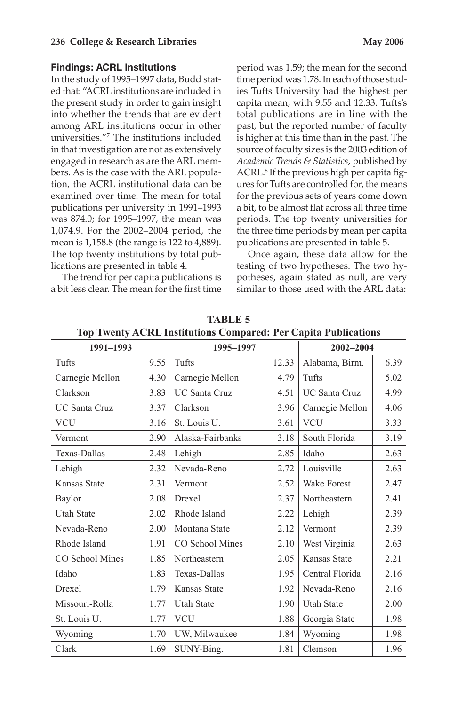### **Findings: ACRL Institutions**

 In the study of 1995–1997 data, Budd stat- ed that: "ACRLinstitutions are included in the present study in order to gain insight into whether the trends that are evident among ARL institutions occur in other universities."7 The institutions included in that investigation are not as extensively engaged in research as are the ARL mem- bers. As is the case with the ARL popula- tion, the ACRL institutional data can be examined over time. The mean for total publications per university in 1991–1993 was 874.0; for 1995–1997, the mean was 1,074.9. For the 2002–2004 period, the mean is 1,158.8 (the range is 122 to 4,889). The top twenty institutions by total pub-lications are presented in table 4.

 The trend for per capita publications is a bit less clear. The mean for the first time  period was 1.59; the mean for the second time period was 1.78. In each of those studies Tufts University had the highest per capita mean, with 9.55 and 12.33. Tufts's total publications are in line with the past, but the reported number of faculty is higher at this time than in the past. The source of faculty sizes is the 2003 edition of  *Academic Trends & Statistics*, published by ACRL.8 If the previous high per capita figures for Tufts are controlled for, the means for the previous sets of years come down a bit, to be almost flat across all three time periods. The top twenty universities for the three time periods by mean per capita publications are presented in table 5.

 Once again, these data allow for the potheses, again stated as null, are very testing of two hypotheses. The two hysimilar to those used with the ARL data:

| <b>TABLE 5</b><br><b>Top Twenty ACRL Institutions Compared: Per Capita Publications</b> |      |                      |       |                      |      |
|-----------------------------------------------------------------------------------------|------|----------------------|-------|----------------------|------|
| 1991-1993                                                                               |      | 1995-1997            |       | 2002-2004            |      |
| Tufts                                                                                   | 9.55 | Tufts                | 12.33 | Alabama, Birm.       | 6.39 |
| Carnegie Mellon                                                                         | 4.30 | Carnegie Mellon      | 4.79  | Tufts                | 5.02 |
| Clarkson                                                                                | 3.83 | <b>UC Santa Cruz</b> | 4.51  | <b>UC Santa Cruz</b> | 4.99 |
| <b>UC Santa Cruz</b>                                                                    | 3.37 | Clarkson             | 3.96  | Carnegie Mellon      | 4.06 |
| <b>VCU</b>                                                                              | 3.16 | St. Louis U.         | 3.61  | <b>VCU</b>           | 3.33 |
| Vermont                                                                                 | 2.90 | Alaska-Fairbanks     | 3.18  | South Florida        | 3.19 |
| <b>Texas-Dallas</b>                                                                     | 2.48 | Lehigh               | 2.85  | Idaho                | 2.63 |
| Lehigh                                                                                  | 2.32 | Nevada-Reno          | 2.72  | Louisville           | 2.63 |
| Kansas State                                                                            | 2.31 | Vermont              | 2.52  | <b>Wake Forest</b>   | 2.47 |
| Baylor                                                                                  | 2.08 | Drexel               | 2.37  | Northeastern         | 2.41 |
| <b>Utah State</b>                                                                       | 2.02 | Rhode Island         | 2.22  | Lehigh               | 2.39 |
| Nevada-Reno                                                                             | 2.00 | Montana State        | 2.12  | Vermont              | 2.39 |
| Rhode Island                                                                            | 1.91 | CO School Mines      | 2.10  | West Virginia        | 2.63 |
| CO School Mines                                                                         | 1.85 | Northeastern         | 2.05  | <b>Kansas State</b>  | 2.21 |
| Idaho                                                                                   | 1.83 | Texas-Dallas         | 1.95  | Central Florida      | 2.16 |
| <b>Drexel</b>                                                                           | 1.79 | <b>Kansas State</b>  | 1.92  | Nevada-Reno          | 2.16 |
| Missouri-Rolla                                                                          | 1.77 | <b>Utah State</b>    | 1.90  | <b>Utah State</b>    | 2.00 |
| St. Louis U.                                                                            | 1.77 | <b>VCU</b>           | 1.88  | Georgia State        | 1.98 |
| Wyoming                                                                                 | 1.70 | UW, Milwaukee        | 1.84  | Wyoming              | 1.98 |
| Clark                                                                                   | 1.69 | SUNY-Bing.           | 1.81  | Clemson              | 1.96 |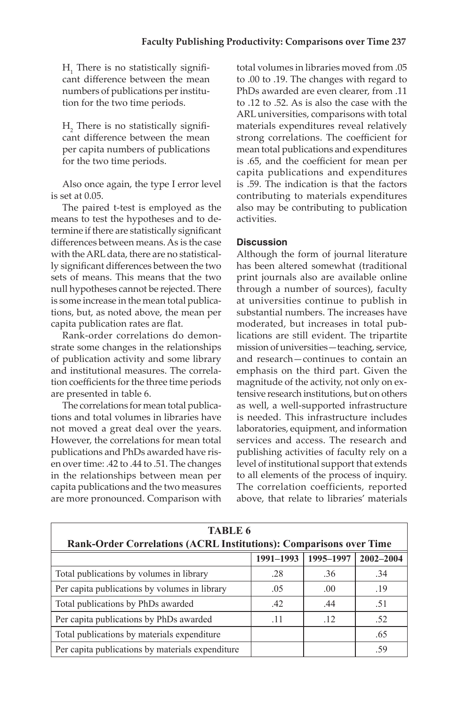cant difference between the mean numbers of publications per institu-H<sub>1</sub> There is no statistically signifition for the two time periods.

 cant difference between the mean H<sub>2</sub> There is no statistically signifiper capita numbers of publications for the two time periods.

Also once again, the type I error level is set at 0.05.

 The paired t-test is employed as the termine if there are statistically significant differences between means. As is the case with the ARL data, there are no statistical- ly significant differences between the two null hypotheses cannot be rejected. There is some increase in the mean total publicameans to test the hypotheses and to desets of means. This means that the two tions, but, as noted above, the mean per capita publication rates are flat.

 Rank-order correlations do demon- tion coefficients for the three time periods strate some changes in the relationships of publication activity and some library and institutional measures. The correlaare presented in table 6.

 The correlations for mean total publica- not moved a great deal over the years. publications and PhDs awarded have ris- en over time: .42 to .44 to .51. The changes in the relationships between mean per capita publications and the two measures tions and total volumes in libraries have However, the correlations for mean total are more pronounced. Comparison with

 strong correlations. The coefficient for mean total publications and expenditures is .65, and the coefficient for mean per capita publications and expenditures is .59. The indication is that the factors contributing to materials expenditures total volumes in libraries moved from .05 to .00 to .19. The changes with regard to PhDs awarded are even clearer, from .11 to .12 to .52. As is also the case with the ARL universities, comparisons with total materials expenditures reveal relatively also may be contributing to publication activities.

# **Discussion**

 Although the form of journal literature has been altered somewhat (traditional print journals also are available online through a number of sources), faculty at universities continue to publish in moderated, but increases in total pub- lications are still evident. The tripartite mission of universities—teaching, service, and research—continues to contain an emphasis on the third part. Given the tensive research institutions, but on others is needed. This infrastructure includes laboratories, equipment, and information services and access. The research and level of institutional support that extends above, that relate to libraries' materials substantial numbers. The increases have magnitude of the activity, not only on exas well, a well-supported infrastructure publishing activities of faculty rely on a to all elements of the process of inquiry. The correlation coefficients, reported

| <b>TABLE 6</b><br>Rank-Order Correlations (ACRL Institutions): Comparisons over Time |     |     |     |  |  |  |
|--------------------------------------------------------------------------------------|-----|-----|-----|--|--|--|
| 1995-1997<br>1991-1993<br>$2002 - 2004$                                              |     |     |     |  |  |  |
| Total publications by volumes in library                                             | .28 | .36 | .34 |  |  |  |
| Per capita publications by volumes in library                                        | .05 | .00 | .19 |  |  |  |
| Total publications by PhDs awarded                                                   | .42 | .44 | .51 |  |  |  |
| Per capita publications by PhDs awarded                                              | -11 | .12 | .52 |  |  |  |
| Total publications by materials expenditure                                          |     |     | .65 |  |  |  |
| Per capita publications by materials expenditure                                     |     |     | -59 |  |  |  |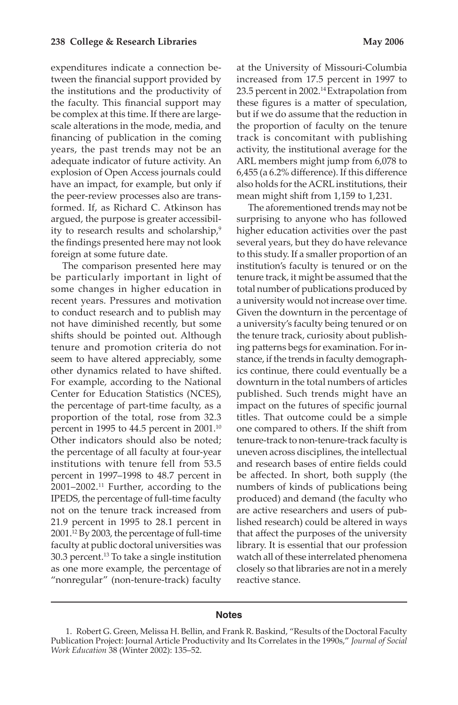expenditures indicate a connection be- the institutions and the productivity of the faculty. This financial support may financing of publication in the coming years, the past trends may not be an formed. If, as Richard C. Atkinson has tween the financial support provided by be complex at this time. If there are largescale alterations in the mode, media, and adequate indicator of future activity. An explosion of Open Access journals could have an impact, for example, but only if the peer-review processes also are transargued, the purpose is greater accessibility to research results and scholarship,<sup>9</sup> the findings presented here may not look

 The comparison presented here may be particularly important in light of some changes in higher education in recent years. Pressures and motivation shifts should be pointed out. Although tenure and promotion criteria do not Center for Education Statistics (NCES), proportion of the total, rose from 32.3 Other indicators should also be noted; institutions with tenure fell from 53.5 percent in 1997–1998 to 48.7 percent in  $2001-2002$ <sup>11</sup> Further, according to the IPEDS, the percentage of full-time faculty not on the tenure track increased from 21.9 percent in 1995 to 28.1 percent in 2001.12 By 2003, the percentage of full-time faculty at public doctoral universities was foreign at some future date. to conduct research and to publish may not have diminished recently, but some seem to have altered appreciably, some other dynamics related to have shifted. For example, according to the National the percentage of part-time faculty, as a percent in 1995 to 44.5 percent in 2001.10 the percentage of all faculty at four-year 30.3 percent.13 To take a single institution as one more example, the percentage of "nonregular" (non-tenure-track) faculty

 increased from 17.5 percent in 1997 to the proportion of faculty on the tenure track is concomitant with publishing 6,455 (a 6.2% difference). If this difference also holds for the ACRL institutions, their at the University of Missouri-Columbia 23.5 percent in 2002.<sup>14</sup> Extrapolation from these figures is a matter of speculation, but if we do assume that the reduction in activity, the institutional average for the ARL members might jump from 6,078 to mean might shift from 1,159 to 1,231.

 The aforementioned trends may not be tenure track, it might be assumed that the total number of publications produced by a university would not increase over time. ing patterns begs for examination. For in- stance, if the trends in faculty demograph- published. Such trends might have an titles. That outcome could be a simple tenure-track to non-tenure-track faculty is uneven across disciplines, the intellectual be affected. In short, both supply (the watch all of these interrelated phenomena closely so that libraries are not in a merely surprising to anyone who has followed higher education activities over the past several years, but they do have relevance to this study. If a smaller proportion of an institution's faculty is tenured or on the Given the downturn in the percentage of a university's faculty being tenured or on the tenure track, curiosity about publishics continue, there could eventually be a downturn in the total numbers of articles impact on the futures of specific journal one compared to others. If the shift from and research bases of entire fields could numbers of kinds of publications being produced) and demand (the faculty who are active researchers and users of published research) could be altered in ways that affect the purposes of the university library. It is essential that our profession reactive stance.

#### **Notes**

<sup>1.</sup> Robert G. Green, Melissa H. Bellin, and Frank R. Baskind, "Results of the Doctoral Faculty Publication Project: Journal Article Productivity and Its Correlates in the 1990s," *Journal of Social Work Education* 38 (Winter 2002): 135–52.